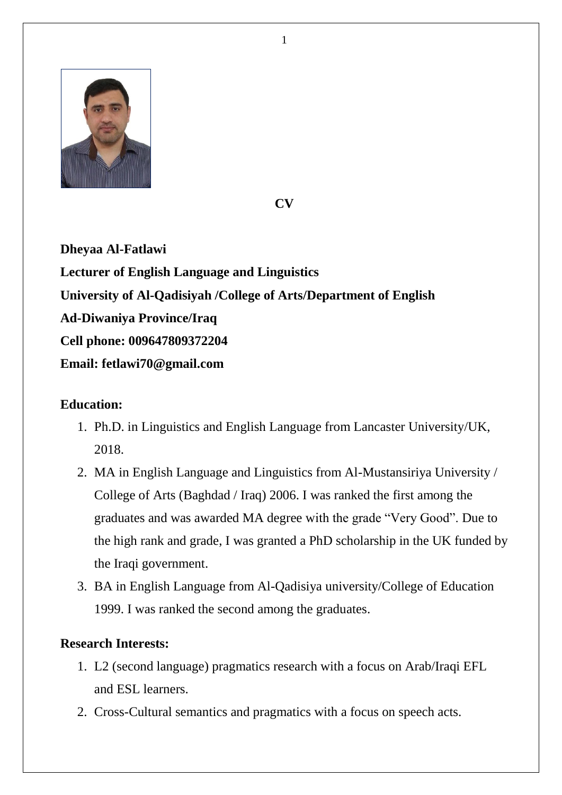

**CV**

**Dheyaa Al-Fatlawi Lecturer of English Language and Linguistics University of Al-Qadisiyah /College of Arts/Department of English Ad-Diwaniya Province/Iraq Cell phone: 009647809372204 Email: fetlawi70@gmail.com**

# **Education:**

- 1. Ph.D. in Linguistics and English Language from Lancaster University/UK, 2018.
- 2. MA in English Language and Linguistics from Al-Mustansiriya University / College of Arts (Baghdad / Iraq) 2006. I was ranked the first among the graduates and was awarded MA degree with the grade "Very Good". Due to the high rank and grade, I was granted a PhD scholarship in the UK funded by the Iraqi government.
- 3. BA in English Language from Al-Qadisiya university/College of Education 1999. I was ranked the second among the graduates.

# **Research Interests:**

- 1. L2 (second language) pragmatics research with a focus on Arab/Iraqi EFL and ESL learners.
- 2. Cross-Cultural semantics and pragmatics with a focus on speech acts.

1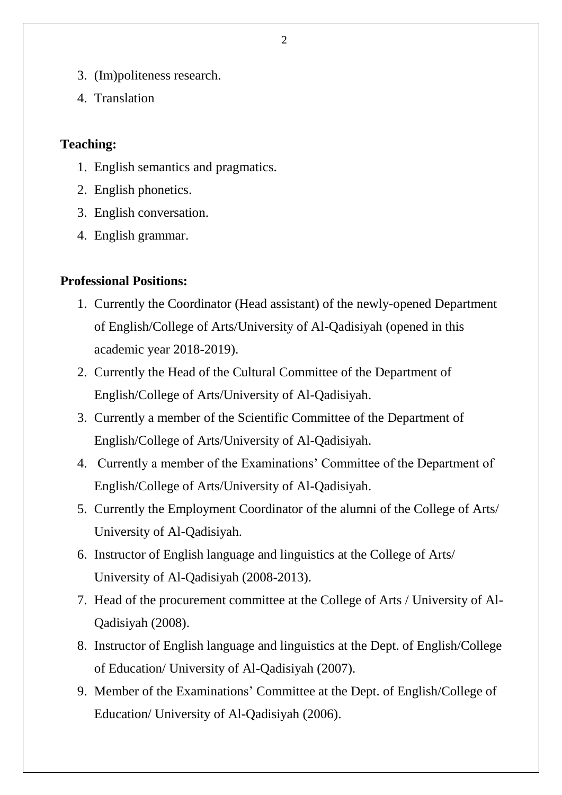- 3. (Im)politeness research.
- 4. Translation

### **Teaching:**

- 1. English semantics and pragmatics.
- 2. English phonetics.
- 3. English conversation.
- 4. English grammar.

## **Professional Positions:**

- 1. Currently the Coordinator (Head assistant) of the newly-opened Department of English/College of Arts/University of Al-Qadisiyah (opened in this academic year 2018-2019).
- 2. Currently the Head of the Cultural Committee of the Department of English/College of Arts/University of Al-Qadisiyah.
- 3. Currently a member of the Scientific Committee of the Department of English/College of Arts/University of Al-Qadisiyah.
- 4. Currently a member of the Examinations' Committee of the Department of English/College of Arts/University of Al-Qadisiyah.
- 5. Currently the Employment Coordinator of the alumni of the College of Arts/ University of Al-Qadisiyah.
- 6. Instructor of English language and linguistics at the College of Arts/ University of Al-Qadisiyah (2008-2013).
- 7. Head of the procurement committee at the College of Arts / University of Al-Qadisiyah (2008).
- 8. Instructor of English language and linguistics at the Dept. of English/College of Education/ University of Al-Qadisiyah (2007).
- 9. Member of the Examinations' Committee at the Dept. of English/College of Education/ University of Al-Qadisiyah (2006).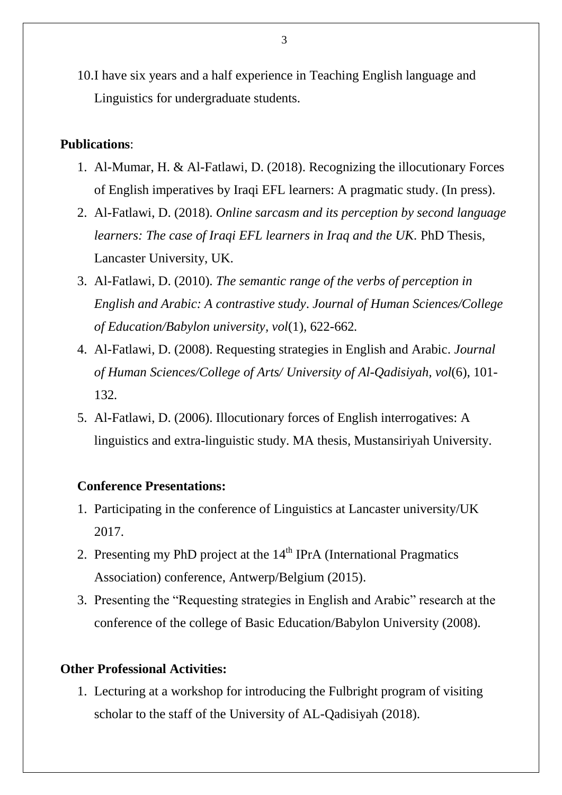10.I have six years and a half experience in Teaching English language and Linguistics for undergraduate students.

#### **Publications**:

- 1. Al-Mumar, H. & Al-Fatlawi, D. (2018). Recognizing the illocutionary Forces of English imperatives by Iraqi EFL learners: A pragmatic study. (In press).
- 2. Al-Fatlawi, D. (2018). *Online sarcasm and its perception by second language learners: The case of Iraqi EFL learners in Iraq and the UK.* PhD Thesis, Lancaster University, UK.
- 3. Al-Fatlawi, D. (2010). *The semantic range of the verbs of perception in English and Arabic: A contrastive study*. *Journal of Human Sciences/College of Education/Babylon university, vol*(1), 622-662*.*
- 4. Al-Fatlawi, D. (2008). Requesting strategies in English and Arabic. *Journal of Human Sciences/College of Arts/ University of Al-Qadisiyah, vol*(6), 101- 132*.*
- 5. Al-Fatlawi, D. (2006). Illocutionary forces of English interrogatives: A linguistics and extra-linguistic study. MA thesis, Mustansiriyah University.

#### **Conference Presentations:**

- 1. Participating in the conference of Linguistics at Lancaster university/UK 2017.
- 2. Presenting my PhD project at the  $14<sup>th</sup>$  IPrA (International Pragmatics Association) conference, Antwerp/Belgium (2015).
- 3. Presenting the "Requesting strategies in English and Arabic" research at the conference of the college of Basic Education/Babylon University (2008).

### **Other Professional Activities:**

1. Lecturing at a workshop for introducing the Fulbright program of visiting scholar to the staff of the University of AL-Qadisiyah (2018).

3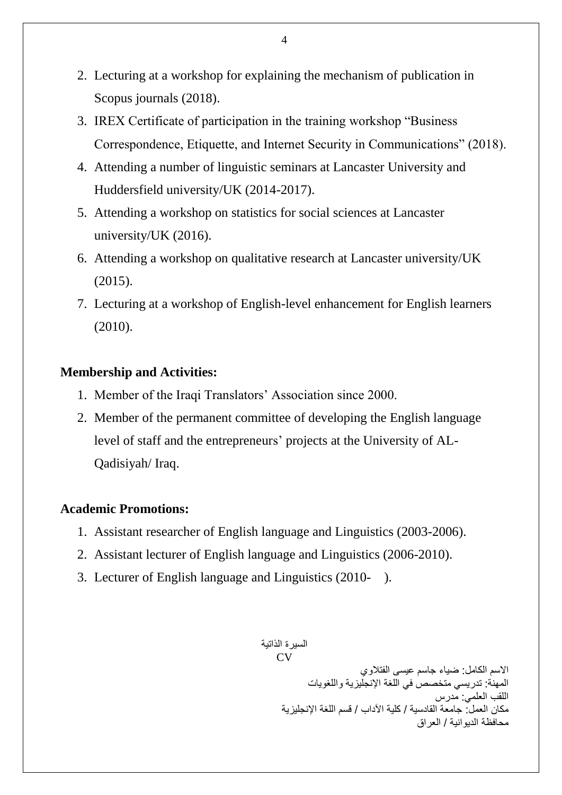- 2. Lecturing at a workshop for explaining the mechanism of publication in Scopus journals (2018).
- 3. IREX Certificate of participation in the training workshop "Business Correspondence, Etiquette, and Internet Security in Communications" (2018).
- 4. Attending a number of linguistic seminars at Lancaster University and Huddersfield university/UK (2014-2017).
- 5. Attending a workshop on statistics for social sciences at Lancaster university/UK (2016).
- 6. Attending a workshop on qualitative research at Lancaster university/UK (2015).
- 7. Lecturing at a workshop of English-level enhancement for English learners (2010).

### **Membership and Activities:**

- 1. Member of the Iraqi Translators' Association since 2000.
- 2. Member of the permanent committee of developing the English language level of staff and the entrepreneurs' projects at the University of AL-Qadisiyah/ Iraq.

#### **Academic Promotions:**

- 1. Assistant researcher of English language and Linguistics (2003-2006).
- 2. Assistant lecturer of English language and Linguistics (2006-2010).
- 3. Lecturer of English language and Linguistics (2010- ).

السبر ة الذاتبة  $CV$ 

الاسم الكامل: ضياء جاسم عيسى الفتلاوي المهنة: تدريسي متخصص في اللغة الإنجليزية واللغويات اللقب العلم:ً مدرس مكان العمل: جامعة القادسية / كلية الآداب / قسم اللغة الانجليز بة محافظة الديو انية / العراق

4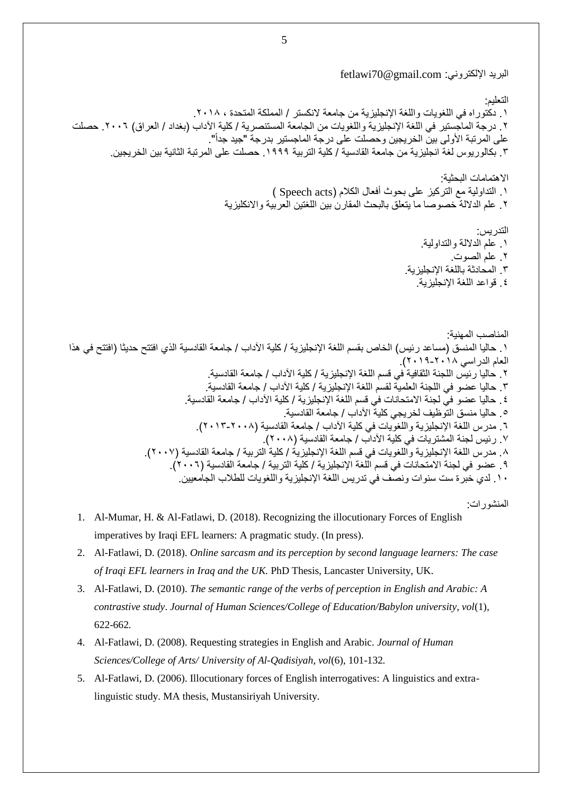البريد الإلكتروني: fetlawi70@gmail.com

التعليم: ١. دكتوراه في اللغويات واللغة الإنجليزية من جامعة لانكستر / المملكة المتحدة ، ٢٠١٨. ٢ . درجة الماجستير في اللغة الإنجليزية واللغويات من الجامعة المستنصرية / كلية الآداب (بغداد / العراق) ٢٠٠٦. حصلت على المرتبة الأولى بين الخريجين وحصلت على درجة الماجستير بدرجة "جيد جداً". ٢. بكالور يوس لغة انجليز ية من جامعة القادسية / كلية التربية ١٩٩٩. حصلت على المرتبة الثانية بين الخر يجين. الاهتمامات البحثية: ا. التداولية مع التركيز على بحوث أفعال الكلام (Speech acts ) ٢ علم الدلالة خصوصا ما يتعلق بالبحث المقارن بين اللغتين العربية والانكليزية التدر بس: .1 علم الداللة والتداولٌة. .8 علم الصوت. ٣. المحادثة باللغة الإنجليزية. ٤. قواعد اللغة الإنجليزية. المناصب المهنبة: ١ ـ حاليا المنسق (مساعد رئيس) الخاص بقسم اللغة الإنجليزية / كلية الآداب / جامعة القادسية الذي افتتح حديثا (افتتح في هذا العام الدراسي ٢٠١٨-٢٠١٩). ٢. حاليا رئيس اللجنة الثقافية في قسم اللغة الإنجليزية / كلية الآداب / جامعة القادسية. ٣. حاليا عضو في اللجنة العلمية لقسم اللغة الإنجليزية / كلية الآداب / جامعة القادسية. ٤ . حاليا عضو في لجنة الامتحانات في قسم اللغة الإنجليزية / كلية الآداب / جامعة القادسية. 0 . حاليا منسق التّوظيف لخريجي كليةً الآداب / جامعة القادسية. ٦. مدرس اللغة الإنجليزية واللغويات في كلية الآداب / جامعة القادسية (٢٠٠٨-٢٠١٣). ٧. رئيس لجنة المشتريات في كلّية الآداب / جامعة القادسية (٢٠٠٨). ٨. مدرس اللغة الإنجليزية واللغويات في قسم اللغة الإنجليزية / كلية التربية / جامعة القادسية (٢٠٠٧). ٩ . عضو في لجنة الامتحانات في قسم الَّلغة الإنجليزية / كلية التربية / جامعة القادسية (٢٠٠٦). .1 لدى خبرة ست سنوات ونصف في تدريس اللغة الإنجليزية واللغويات للطلاب الجامعيين.

المنشورات:

- 1. Al-Mumar, H. & Al-Fatlawi, D. (2018). Recognizing the illocutionary Forces of English imperatives by Iraqi EFL learners: A pragmatic study. (In press).
- 2. Al-Fatlawi, D. (2018). *Online sarcasm and its perception by second language learners: The case of Iraqi EFL learners in Iraq and the UK.* PhD Thesis, Lancaster University, UK.
- 3. Al-Fatlawi, D. (2010). *The semantic range of the verbs of perception in English and Arabic: A contrastive study*. *Journal of Human Sciences/College of Education/Babylon university, vol*(1), 622-662*.*
- 4. Al-Fatlawi, D. (2008). Requesting strategies in English and Arabic. *Journal of Human Sciences/College of Arts/ University of Al-Qadisiyah, vol*(6), 101-132*.*
- 5. Al-Fatlawi, D. (2006). Illocutionary forces of English interrogatives: A linguistics and extralinguistic study. MA thesis, Mustansiriyah University.